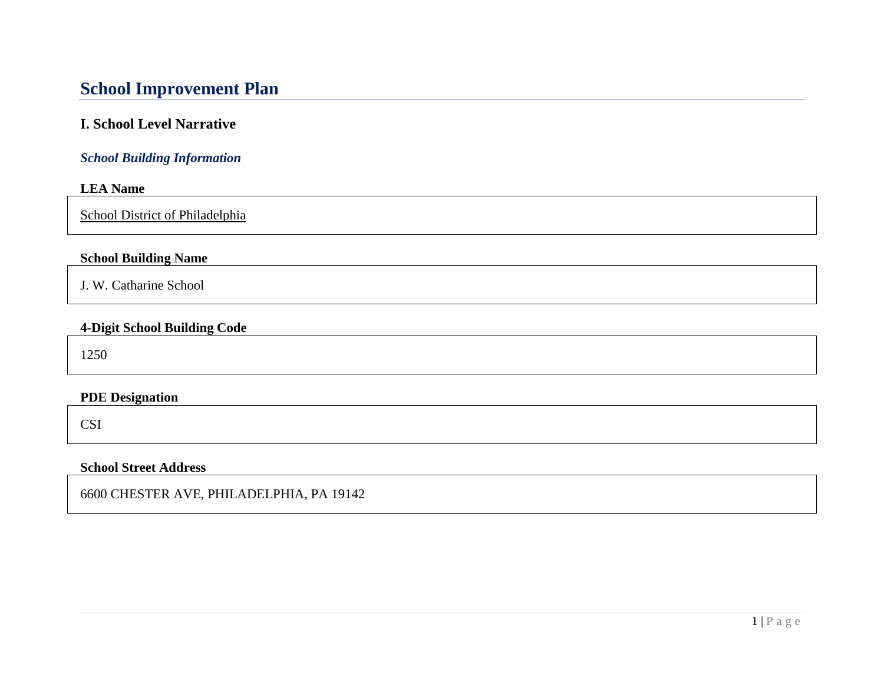# **School Improvement Plan**

# **I. School Level Narrative**

### *School Building Information*

#### **LEA Name**

School District of Philadelphia

#### **School Building Name**

J. W. Catharine School

#### **4-Digit School Building Code**

1250

#### **PDE Designation**

CSI

#### **School Street Address**

6600 CHESTER AVE, PHILADELPHIA, PA 19142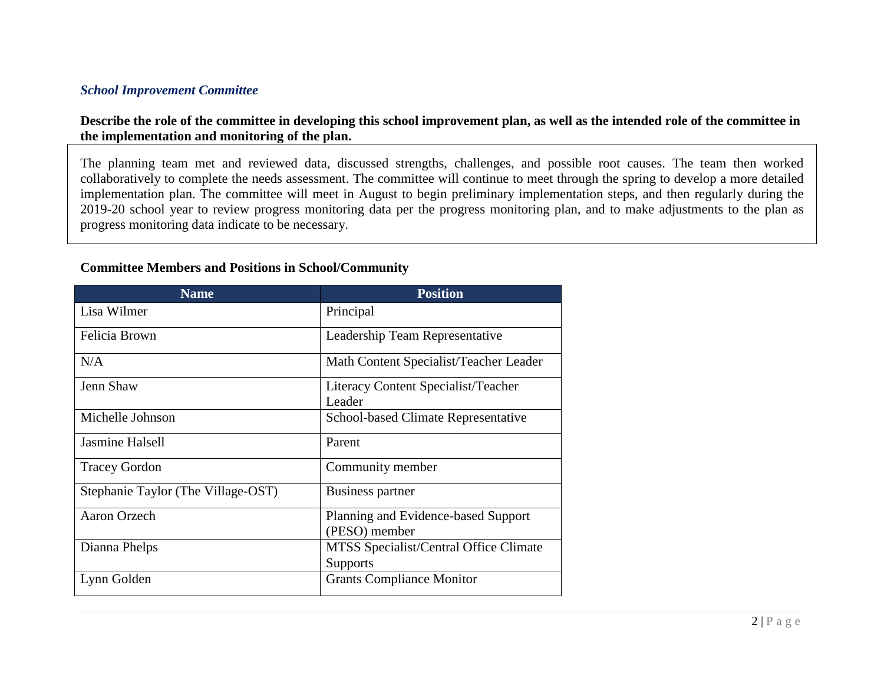#### *School Improvement Committee*

#### **Describe the role of the committee in developing this school improvement plan, as well as the intended role of the committee in the implementation and monitoring of the plan.**

The planning team met and reviewed data, discussed strengths, challenges, and possible root causes. The team then worked collaboratively to complete the needs assessment. The committee will continue to meet through the spring to develop a more detailed implementation plan. The committee will meet in August to begin preliminary implementation steps, and then regularly during the 2019-20 school year to review progress monitoring data per the progress monitoring plan, and to make adjustments to the plan as progress monitoring data indicate to be necessary.

| <b>Name</b>                        | <b>Position</b>                            |
|------------------------------------|--------------------------------------------|
| Lisa Wilmer                        | Principal                                  |
| Felicia Brown                      | Leadership Team Representative             |
| N/A                                | Math Content Specialist/Teacher Leader     |
| Jenn Shaw                          | Literacy Content Specialist/Teacher        |
|                                    | Leader                                     |
| Michelle Johnson                   | <b>School-based Climate Representative</b> |
| Jasmine Halsell                    | Parent                                     |
| <b>Tracey Gordon</b>               | Community member                           |
| Stephanie Taylor (The Village-OST) | Business partner                           |
| <b>Aaron Orzech</b>                | Planning and Evidence-based Support        |
|                                    | (PESO) member                              |
| Dianna Phelps                      | MTSS Specialist/Central Office Climate     |
|                                    | Supports                                   |
| Lynn Golden                        | <b>Grants Compliance Monitor</b>           |

#### **Committee Members and Positions in School/Community**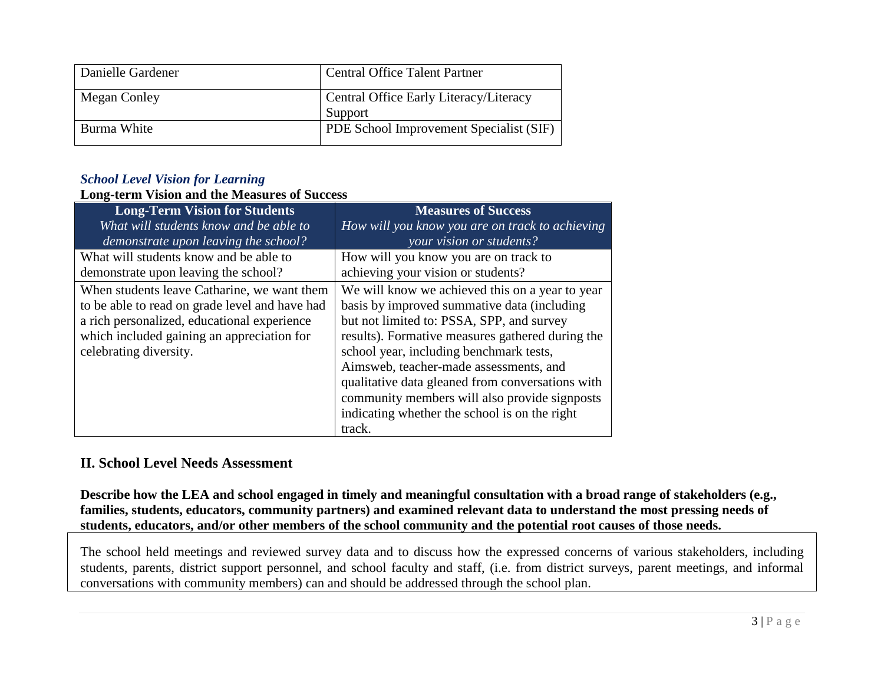| Danielle Gardener | <b>Central Office Talent Partner</b>              |
|-------------------|---------------------------------------------------|
| Megan Conley      | Central Office Early Literacy/Literacy<br>Support |
| Burma White       | PDE School Improvement Specialist (SIF)           |

#### *School Level Vision for Learning*

# **Long-term Vision and the Measures of Success**

| <b>Long-Term Vision for Students</b>           | <b>Measures of Success</b>                       |
|------------------------------------------------|--------------------------------------------------|
| What will students know and be able to         | How will you know you are on track to achieving  |
| demonstrate upon leaving the school?           | your vision or students?                         |
| What will students know and be able to         | How will you know you are on track to            |
| demonstrate upon leaving the school?           | achieving your vision or students?               |
| When students leave Catharine, we want them    | We will know we achieved this on a year to year  |
| to be able to read on grade level and have had | basis by improved summative data (including      |
| a rich personalized, educational experience    | but not limited to: PSSA, SPP, and survey        |
| which included gaining an appreciation for     | results). Formative measures gathered during the |
| celebrating diversity.                         | school year, including benchmark tests,          |
|                                                | Aimsweb, teacher-made assessments, and           |
|                                                | qualitative data gleaned from conversations with |
|                                                | community members will also provide signposts    |
|                                                | indicating whether the school is on the right    |
|                                                | track.                                           |

#### **II. School Level Needs Assessment**

**Describe how the LEA and school engaged in timely and meaningful consultation with a broad range of stakeholders (e.g., families, students, educators, community partners) and examined relevant data to understand the most pressing needs of students, educators, and/or other members of the school community and the potential root causes of those needs.**

The school held meetings and reviewed survey data and to discuss how the expressed concerns of various stakeholders, including students, parents, district support personnel, and school faculty and staff, (i.e. from district surveys, parent meetings, and informal conversations with community members) can and should be addressed through the school plan.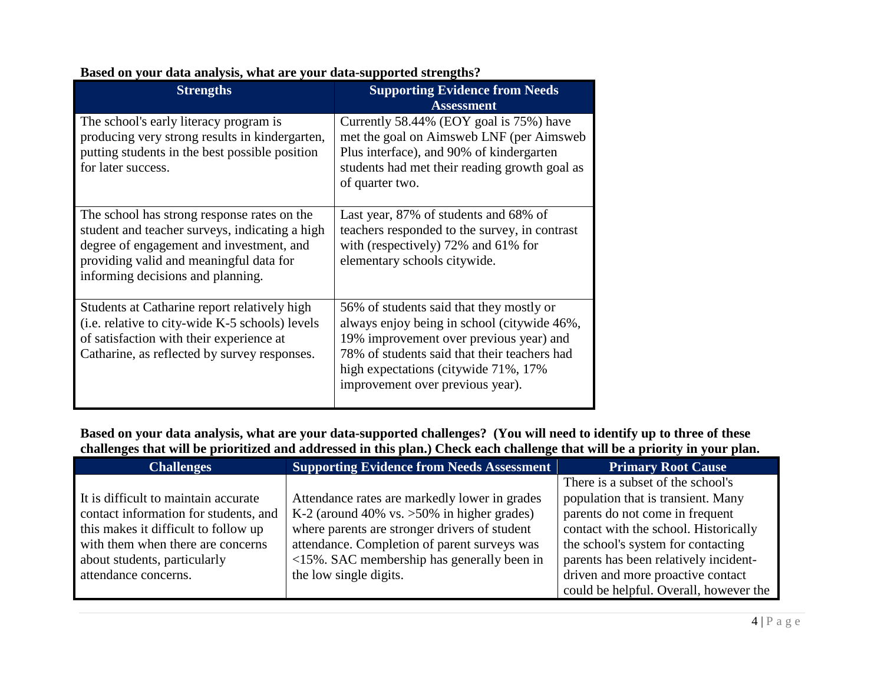| $10-0.9$ $11-0.00$ $-0.2$<br><b>Strengths</b>                                                                                                                                                                             | <b>Supporting Evidence from Needs</b>                                                                                                                                                                                                                           |
|---------------------------------------------------------------------------------------------------------------------------------------------------------------------------------------------------------------------------|-----------------------------------------------------------------------------------------------------------------------------------------------------------------------------------------------------------------------------------------------------------------|
| The school's early literacy program is<br>producing very strong results in kindergarten,<br>putting students in the best possible position<br>for later success.                                                          | <b>Assessment</b><br>Currently 58.44% (EOY goal is 75%) have<br>met the goal on Aimsweb LNF (per Aimsweb)<br>Plus interface), and 90% of kindergarten<br>students had met their reading growth goal as<br>of quarter two.                                       |
| The school has strong response rates on the<br>student and teacher surveys, indicating a high<br>degree of engagement and investment, and<br>providing valid and meaningful data for<br>informing decisions and planning. | Last year, 87% of students and 68% of<br>teachers responded to the survey, in contrast<br>with (respectively) $72\%$ and $61\%$ for<br>elementary schools citywide.                                                                                             |
| Students at Catharine report relatively high<br>(i.e. relative to city-wide K-5 schools) levels<br>of satisfaction with their experience at<br>Catharine, as reflected by survey responses.                               | 56% of students said that they mostly or<br>always enjoy being in school (citywide 46%,<br>19% improvement over previous year) and<br>78% of students said that their teachers had<br>high expectations (citywide 71%, 17%)<br>improvement over previous year). |

## **Based on your data analysis, what are your data-supported strengths?**

**Based on your data analysis, what are your data-supported challenges? (You will need to identify up to three of these challenges that will be prioritized and addressed in this plan.) Check each challenge that will be a priority in your plan.** 

| <b>Challenges</b>                     | <b>Supporting Evidence from Needs Assessment</b> | <b>Primary Root Cause</b>              |
|---------------------------------------|--------------------------------------------------|----------------------------------------|
|                                       |                                                  | There is a subset of the school's      |
| It is difficult to maintain accurate  | Attendance rates are markedly lower in grades    | population that is transient. Many     |
| contact information for students, and | K-2 (around 40% vs. $>50\%$ in higher grades)    | parents do not come in frequent        |
| this makes it difficult to follow up  | where parents are stronger drivers of student    | contact with the school. Historically  |
| with them when there are concerns     | attendance. Completion of parent surveys was     | the school's system for contacting     |
| about students, particularly          | $<$ 15%. SAC membership has generally been in    | parents has been relatively incident-  |
| attendance concerns.                  | the low single digits.                           | driven and more proactive contact      |
|                                       |                                                  | could be helpful. Overall, however the |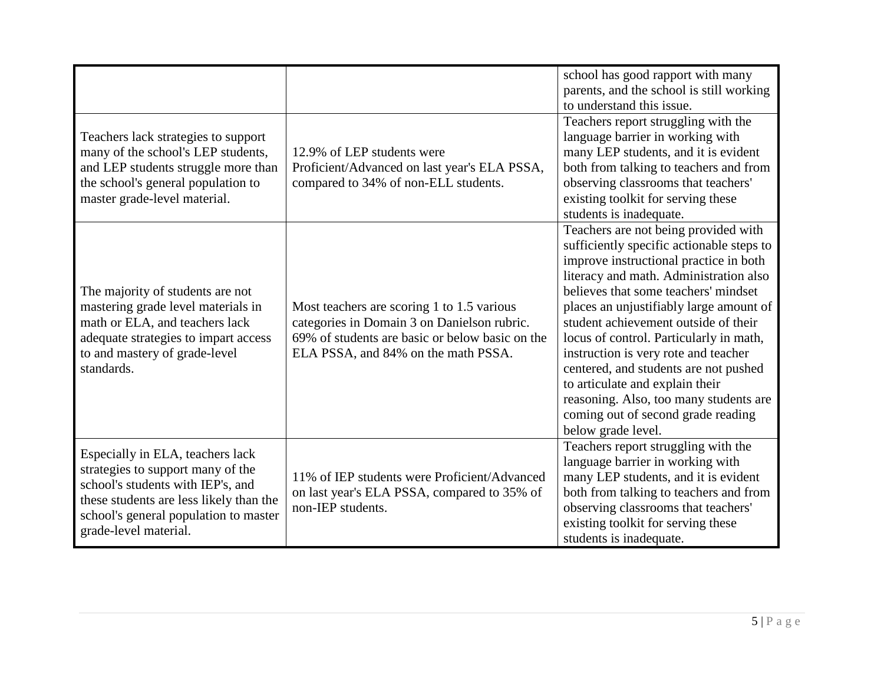| Teachers lack strategies to support<br>many of the school's LEP students,<br>and LEP students struggle more than<br>the school's general population to<br>master grade-level material.                                  | 12.9% of LEP students were<br>Proficient/Advanced on last year's ELA PSSA,<br>compared to 34% of non-ELL students.                                                                  | school has good rapport with many<br>parents, and the school is still working<br>to understand this issue.<br>Teachers report struggling with the<br>language barrier in working with<br>many LEP students, and it is evident<br>both from talking to teachers and from<br>observing classrooms that teachers'<br>existing toolkit for serving these<br>students is inadequate.                                                                                                                                                                                       |
|-------------------------------------------------------------------------------------------------------------------------------------------------------------------------------------------------------------------------|-------------------------------------------------------------------------------------------------------------------------------------------------------------------------------------|-----------------------------------------------------------------------------------------------------------------------------------------------------------------------------------------------------------------------------------------------------------------------------------------------------------------------------------------------------------------------------------------------------------------------------------------------------------------------------------------------------------------------------------------------------------------------|
| The majority of students are not<br>mastering grade level materials in<br>math or ELA, and teachers lack<br>adequate strategies to impart access<br>to and mastery of grade-level<br>standards.                         | Most teachers are scoring 1 to 1.5 various<br>categories in Domain 3 on Danielson rubric.<br>69% of students are basic or below basic on the<br>ELA PSSA, and 84% on the math PSSA. | Teachers are not being provided with<br>sufficiently specific actionable steps to<br>improve instructional practice in both<br>literacy and math. Administration also<br>believes that some teachers' mindset<br>places an unjustifiably large amount of<br>student achievement outside of their<br>locus of control. Particularly in math,<br>instruction is very rote and teacher<br>centered, and students are not pushed<br>to articulate and explain their<br>reasoning. Also, too many students are<br>coming out of second grade reading<br>below grade level. |
| Especially in ELA, teachers lack<br>strategies to support many of the<br>school's students with IEP's, and<br>these students are less likely than the<br>school's general population to master<br>grade-level material. | 11% of IEP students were Proficient/Advanced<br>on last year's ELA PSSA, compared to 35% of<br>non-IEP students.                                                                    | Teachers report struggling with the<br>language barrier in working with<br>many LEP students, and it is evident<br>both from talking to teachers and from<br>observing classrooms that teachers'<br>existing toolkit for serving these<br>students is inadequate.                                                                                                                                                                                                                                                                                                     |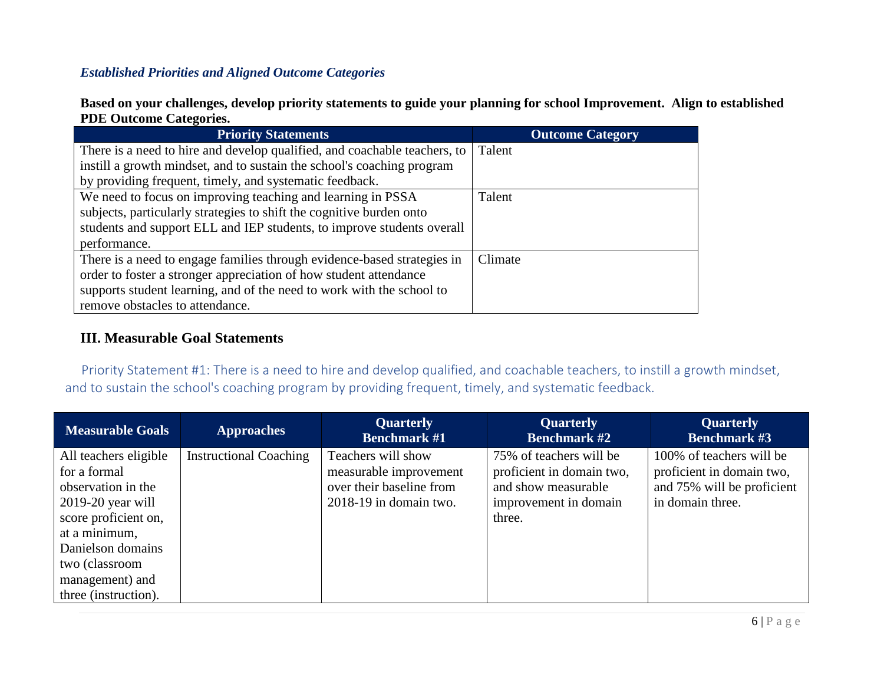# *Established Priorities and Aligned Outcome Categories*

**Based on your challenges, develop priority statements to guide your planning for school Improvement. Align to established PDE Outcome Categories.**

| <b>Priority Statements</b>                                                | <b>Outcome Category</b> |
|---------------------------------------------------------------------------|-------------------------|
| There is a need to hire and develop qualified, and coachable teachers, to | Talent                  |
| instill a growth mindset, and to sustain the school's coaching program    |                         |
| by providing frequent, timely, and systematic feedback.                   |                         |
| We need to focus on improving teaching and learning in PSSA               | Talent                  |
| subjects, particularly strategies to shift the cognitive burden onto      |                         |
| students and support ELL and IEP students, to improve students overall    |                         |
| performance.                                                              |                         |
| There is a need to engage families through evidence-based strategies in   | Climate                 |
| order to foster a stronger appreciation of how student attendance         |                         |
| supports student learning, and of the need to work with the school to     |                         |
| remove obstacles to attendance.                                           |                         |

# **III. Measurable Goal Statements**

 Priority Statement #1: There is a need to hire and develop qualified, and coachable teachers, to instill a growth mindset, and to sustain the school's coaching program by providing frequent, timely, and systematic feedback.

| <b>Measurable Goals</b>                                                                                                                                                                                       | <b>Approaches</b>             | <b>Quarterly</b><br><b>Benchmark #1</b>                                                            | <b>Quarterly</b><br><b>Benchmark</b> #2                                                                        | <b>Quarterly</b><br><b>Benchmark #3</b>                                                                 |
|---------------------------------------------------------------------------------------------------------------------------------------------------------------------------------------------------------------|-------------------------------|----------------------------------------------------------------------------------------------------|----------------------------------------------------------------------------------------------------------------|---------------------------------------------------------------------------------------------------------|
| All teachers eligible<br>for a formal<br>observation in the<br>$2019-20$ year will<br>score proficient on,<br>at a minimum,<br>Danielson domains<br>two (classroom<br>management) and<br>three (instruction). | <b>Instructional Coaching</b> | Teachers will show<br>measurable improvement<br>over their baseline from<br>2018-19 in domain two. | 75% of teachers will be<br>proficient in domain two,<br>and show measurable<br>improvement in domain<br>three. | 100% of teachers will be<br>proficient in domain two,<br>and 75% will be proficient<br>in domain three. |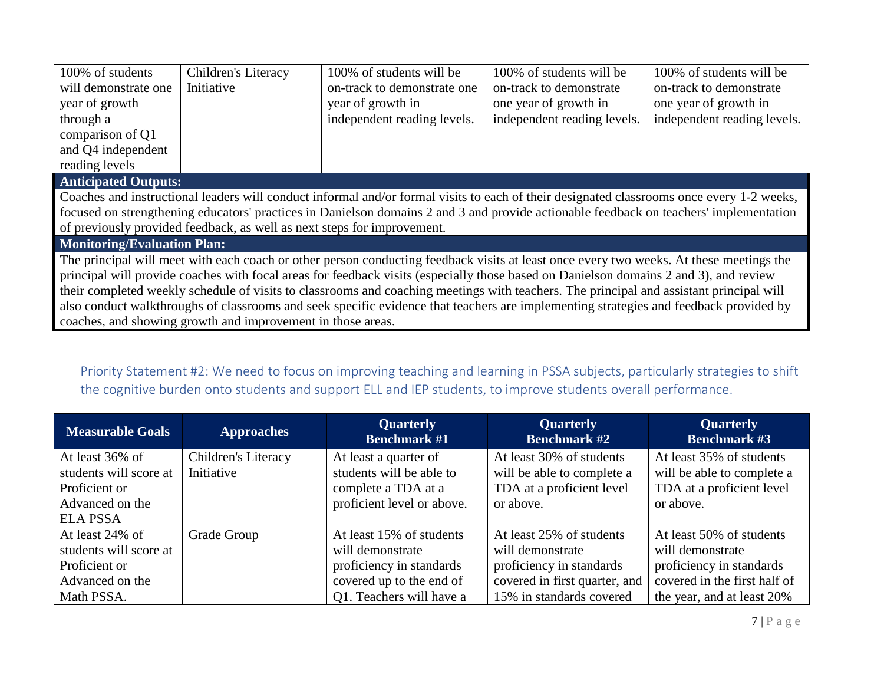| 100% of students                                                                                                                          | Children's Literacy                                         | 100% of students will be    | 100% of students will be    | 100% of students will be    |  |  |
|-------------------------------------------------------------------------------------------------------------------------------------------|-------------------------------------------------------------|-----------------------------|-----------------------------|-----------------------------|--|--|
| will demonstrate one                                                                                                                      | Initiative                                                  | on-track to demonstrate one | on-track to demonstrate     | on-track to demonstrate     |  |  |
| year of growth                                                                                                                            |                                                             | year of growth in           | one year of growth in       | one year of growth in       |  |  |
| through a                                                                                                                                 |                                                             | independent reading levels. | independent reading levels. | independent reading levels. |  |  |
| comparison of Q1                                                                                                                          |                                                             |                             |                             |                             |  |  |
| and Q4 independent                                                                                                                        |                                                             |                             |                             |                             |  |  |
| reading levels                                                                                                                            |                                                             |                             |                             |                             |  |  |
|                                                                                                                                           | <b>Anticipated Outputs:</b>                                 |                             |                             |                             |  |  |
| Coaches and instructional leaders will conduct informal and/or formal visits to each of their designated classrooms once every 1-2 weeks, |                                                             |                             |                             |                             |  |  |
| focused on strengthening educators' practices in Danielson domains 2 and 3 and provide actionable feedback on teachers' implementation    |                                                             |                             |                             |                             |  |  |
| of previously provided feedback, as well as next steps for improvement.                                                                   |                                                             |                             |                             |                             |  |  |
| <b>Monitoring/Evaluation Plan:</b>                                                                                                        |                                                             |                             |                             |                             |  |  |
| The principal will meet with each coach or other person conducting feedback visits at least once every two weeks. At these meetings the   |                                                             |                             |                             |                             |  |  |
| principal will provide coaches with focal areas for feedback visits (especially those based on Danielson domains 2 and 3), and review     |                                                             |                             |                             |                             |  |  |
| their completed weekly schedule of visits to classrooms and coaching meetings with teachers. The principal and assistant principal will   |                                                             |                             |                             |                             |  |  |
| also conduct walkthroughs of classrooms and seek specific evidence that teachers are implementing strategies and feedback provided by     |                                                             |                             |                             |                             |  |  |
|                                                                                                                                           | coaches, and showing growth and improvement in those areas. |                             |                             |                             |  |  |

# Priority Statement #2: We need to focus on improving teaching and learning in PSSA subjects, particularly strategies to shift the cognitive burden onto students and support ELL and IEP students, to improve students overall performance.

| <b>Measurable Goals</b>                   | <b>Approaches</b>                 | <b>Quarterly</b><br><b>Benchmark #1</b>           | <b>Quarterly</b><br><b>Quarterly</b><br><b>Benchmark #3</b><br><b>Benchmark #2</b> |                                                        |
|-------------------------------------------|-----------------------------------|---------------------------------------------------|------------------------------------------------------------------------------------|--------------------------------------------------------|
| At least 36% of<br>students will score at | Children's Literacy<br>Initiative | At least a quarter of<br>students will be able to | At least 30% of students<br>will be able to complete a                             | At least 35% of students<br>will be able to complete a |
| Proficient or                             |                                   | complete a TDA at a                               | TDA at a proficient level                                                          | TDA at a proficient level                              |
| Advanced on the                           |                                   | proficient level or above.                        | or above.                                                                          | or above.                                              |
| <b>ELA PSSA</b>                           |                                   |                                                   |                                                                                    |                                                        |
| At least 24% of                           | Grade Group                       | At least 15% of students                          | At least 25% of students                                                           | At least 50% of students                               |
| students will score at                    |                                   | will demonstrate                                  | will demonstrate                                                                   | will demonstrate                                       |
| Proficient or                             |                                   | proficiency in standards                          | proficiency in standards                                                           | proficiency in standards                               |
| Advanced on the                           |                                   | covered up to the end of                          | covered in first quarter, and                                                      | covered in the first half of                           |
| Math PSSA.                                |                                   | Q1. Teachers will have a                          | 15% in standards covered                                                           | the year, and at least 20%                             |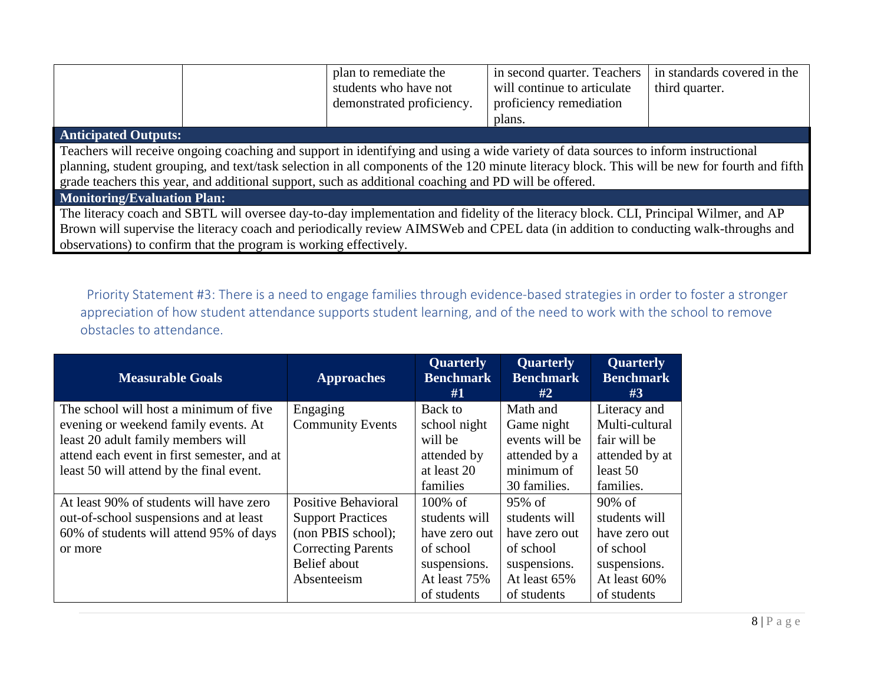|                                                                                                                                               | plan to remediate the     | in second quarter. Teachers | in standards covered in the |  |  |
|-----------------------------------------------------------------------------------------------------------------------------------------------|---------------------------|-----------------------------|-----------------------------|--|--|
|                                                                                                                                               | students who have not     | will continue to articulate | third quarter.              |  |  |
|                                                                                                                                               | demonstrated proficiency. | proficiency remediation     |                             |  |  |
|                                                                                                                                               |                           | plans.                      |                             |  |  |
| <b>Anticipated Outputs:</b>                                                                                                                   |                           |                             |                             |  |  |
| Teachers will receive ongoing coaching and support in identifying and using a wide variety of data sources to inform instructional            |                           |                             |                             |  |  |
| planning, student grouping, and text/task selection in all components of the 120 minute literacy block. This will be new for fourth and fifth |                           |                             |                             |  |  |
| grade teachers this year, and additional support, such as additional coaching and PD will be offered.                                         |                           |                             |                             |  |  |
| <b>Monitoring/Evaluation Plan:</b>                                                                                                            |                           |                             |                             |  |  |
| The literacy coach and SBTL will oversee day-to-day implementation and fidelity of the literacy block. CLI, Principal Wilmer, and AP          |                           |                             |                             |  |  |

Brown will supervise the literacy coach and periodically review AIMSWeb and CPEL data (in addition to conducting walk-throughs and observations) to confirm that the program is working effectively.

 Priority Statement #3: There is a need to engage families through evidence-based strategies in order to foster a stronger appreciation of how student attendance supports student learning, and of the need to work with the school to remove obstacles to attendance.

| <b>Measurable Goals</b>                     | <b>Approaches</b>         | Quarterly<br><b>Benchmark</b><br>#1 | Quarterly<br><b>Benchmark</b><br>#2 | <b>Quarterly</b><br><b>Benchmark</b><br>#3 |
|---------------------------------------------|---------------------------|-------------------------------------|-------------------------------------|--------------------------------------------|
| The school will host a minimum of five      | Engaging                  | Back to                             | Math and                            | Literacy and                               |
| evening or weekend family events. At        | <b>Community Events</b>   | school night                        | Game night                          | Multi-cultural                             |
| least 20 adult family members will          |                           | will be                             | events will be                      | fair will be                               |
| attend each event in first semester, and at |                           | attended by                         | attended by a                       | attended by at                             |
| least 50 will attend by the final event.    |                           | at least 20                         | minimum of                          | least 50                                   |
|                                             |                           | families                            | 30 families.                        | families.                                  |
| At least 90% of students will have zero     | Positive Behavioral       | $100\%$ of                          | 95% of                              | $90\% \text{ of }$                         |
| out-of-school suspensions and at least      | <b>Support Practices</b>  | students will                       | students will                       | students will                              |
| 60% of students will attend 95% of days     | (non PBIS school);        | have zero out                       | have zero out                       | have zero out                              |
| or more                                     | <b>Correcting Parents</b> | of school                           | of school                           | of school                                  |
|                                             | Belief about              | suspensions.                        | suspensions.                        | suspensions.                               |
|                                             | Absenteeism               | At least 75%                        | At least 65%                        | At least 60%                               |
|                                             |                           | of students                         | of students                         | of students                                |